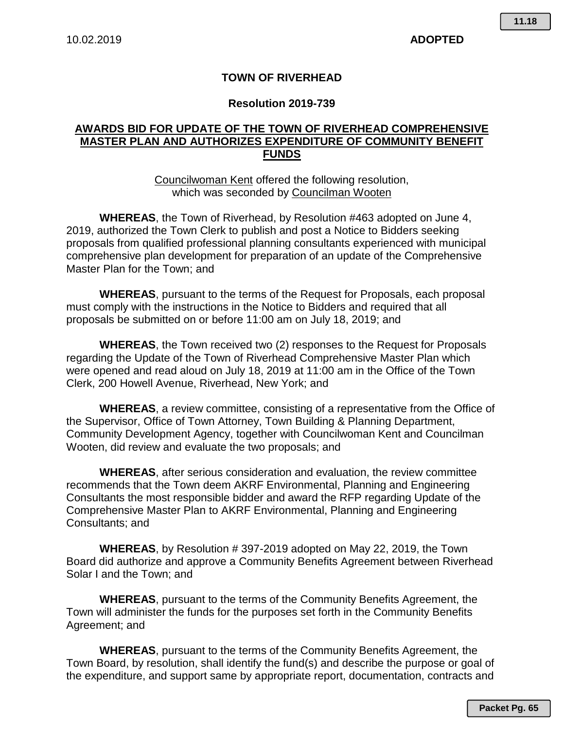## **TOWN OF RIVERHEAD**

## **Resolution 2019-739**

## **AWARDS BID FOR UPDATE OF THE TOWN OF RIVERHEAD COMPREHENSIVE MASTER PLAN AND AUTHORIZES EXPENDITURE OF COMMUNITY BENEFIT FUNDS**

Councilwoman Kent offered the following resolution, which was seconded by Councilman Wooten

**WHEREAS**, the Town of Riverhead, by Resolution #463 adopted on June 4, 2019, authorized the Town Clerk to publish and post a Notice to Bidders seeking proposals from qualified professional planning consultants experienced with municipal comprehensive plan development for preparation of an update of the Comprehensive Master Plan for the Town; and

**WHEREAS**, pursuant to the terms of the Request for Proposals, each proposal must comply with the instructions in the Notice to Bidders and required that all proposals be submitted on or before 11:00 am on July 18, 2019; and

**WHEREAS**, the Town received two (2) responses to the Request for Proposals regarding the Update of the Town of Riverhead Comprehensive Master Plan which were opened and read aloud on July 18, 2019 at 11:00 am in the Office of the Town Clerk, 200 Howell Avenue, Riverhead, New York; and

**WHEREAS**, a review committee, consisting of a representative from the Office of the Supervisor, Office of Town Attorney, Town Building & Planning Department, Community Development Agency, together with Councilwoman Kent and Councilman Wooten, did review and evaluate the two proposals; and

**WHEREAS**, after serious consideration and evaluation, the review committee recommends that the Town deem AKRF Environmental, Planning and Engineering Consultants the most responsible bidder and award the RFP regarding Update of the Comprehensive Master Plan to AKRF Environmental, Planning and Engineering Consultants; and

**WHEREAS**, by Resolution # 397-2019 adopted on May 22, 2019, the Town Board did authorize and approve a Community Benefits Agreement between Riverhead Solar I and the Town; and

**WHEREAS**, pursuant to the terms of the Community Benefits Agreement, the Town will administer the funds for the purposes set forth in the Community Benefits Agreement; and

**WHEREAS**, pursuant to the terms of the Community Benefits Agreement, the Town Board, by resolution, shall identify the fund(s) and describe the purpose or goal of the expenditure, and support same by appropriate report, documentation, contracts and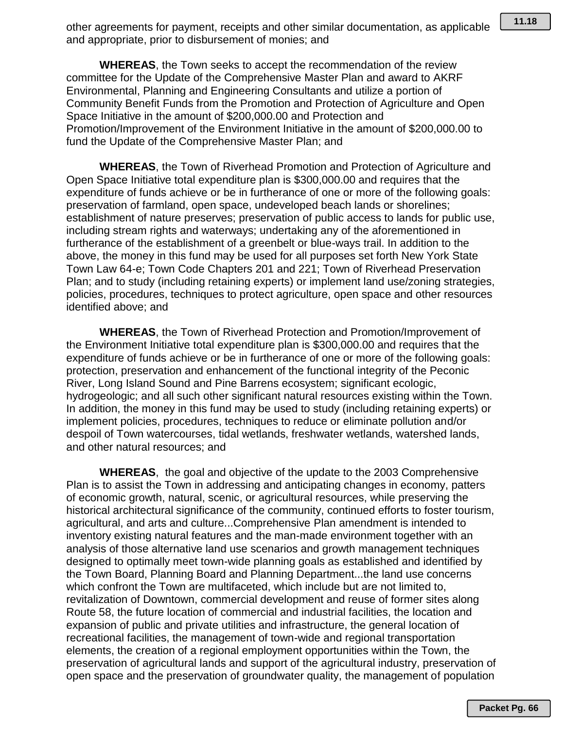other agreements for payment, receipts and other similar documentation, as applicable and appropriate, prior to disbursement of monies; and

**WHEREAS**, the Town seeks to accept the recommendation of the review committee for the Update of the Comprehensive Master Plan and award to AKRF Environmental, Planning and Engineering Consultants and utilize a portion of Community Benefit Funds from the Promotion and Protection of Agriculture and Open Space Initiative in the amount of \$200,000.00 and Protection and Promotion/Improvement of the Environment Initiative in the amount of \$200,000.00 to fund the Update of the Comprehensive Master Plan; and

**WHEREAS**, the Town of Riverhead Promotion and Protection of Agriculture and Open Space Initiative total expenditure plan is \$300,000.00 and requires that the expenditure of funds achieve or be in furtherance of one or more of the following goals: preservation of farmland, open space, undeveloped beach lands or shorelines; establishment of nature preserves; preservation of public access to lands for public use, including stream rights and waterways; undertaking any of the aforementioned in furtherance of the establishment of a greenbelt or blue-ways trail. In addition to the above, the money in this fund may be used for all purposes set forth New York State Town Law 64-e; Town Code Chapters 201 and 221; Town of Riverhead Preservation Plan; and to study (including retaining experts) or implement land use/zoning strategies, policies, procedures, techniques to protect agriculture, open space and other resources identified above; and

**WHEREAS**, the Town of Riverhead Protection and Promotion/Improvement of the Environment Initiative total expenditure plan is \$300,000.00 and requires that the expenditure of funds achieve or be in furtherance of one or more of the following goals: protection, preservation and enhancement of the functional integrity of the Peconic River, Long Island Sound and Pine Barrens ecosystem; significant ecologic, hydrogeologic; and all such other significant natural resources existing within the Town. In addition, the money in this fund may be used to study (including retaining experts) or implement policies, procedures, techniques to reduce or eliminate pollution and/or despoil of Town watercourses, tidal wetlands, freshwater wetlands, watershed lands, and other natural resources; and

**WHEREAS**, the goal and objective of the update to the 2003 Comprehensive Plan is to assist the Town in addressing and anticipating changes in economy, patters of economic growth, natural, scenic, or agricultural resources, while preserving the historical architectural significance of the community, continued efforts to foster tourism, agricultural, and arts and culture...Comprehensive Plan amendment is intended to inventory existing natural features and the man-made environment together with an analysis of those alternative land use scenarios and growth management techniques designed to optimally meet town-wide planning goals as established and identified by the Town Board, Planning Board and Planning Department...the land use concerns which confront the Town are multifaceted, which include but are not limited to, revitalization of Downtown, commercial development and reuse of former sites along Route 58, the future location of commercial and industrial facilities, the location and expansion of public and private utilities and infrastructure, the general location of recreational facilities, the management of town-wide and regional transportation elements, the creation of a regional employment opportunities within the Town, the preservation of agricultural lands and support of the agricultural industry, preservation of open space and the preservation of groundwater quality, the management of population